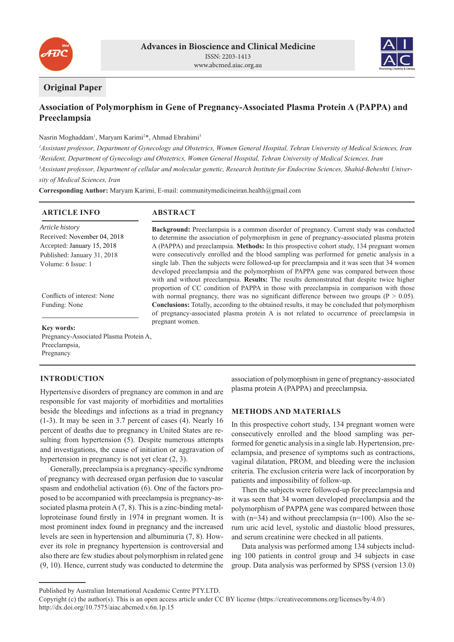



# **Original Paper**

# **Association of Polymorphism in Gene of Pregnancy-Associated Plasma Protein A (PAPPA) and Preeclampsia**

### Nasrin Moghaddam<sup>1</sup>, Maryam Karimi<sup>2\*</sup>, Ahmad Ebrahimi<sup>3</sup>

*Assistant professor, Department of Gynecology and Obstetrics, Women General Hospital, Tehran University of Medical Sciences, Iran Resident, Department of Gynecology and Obstetrics, Women General Hospital, Tehran University of Medical Sciences, Iran Assistant professor, Department of cellular and molecular genetic, Research Institute for Endocrine Sciences, Shahid-Beheshti University of Medical Sciences, Iran*

**Corresponding Author:** Maryam Karimi, E-mail: communitymedicineiran.health@gmail.com

| <b>ARTICLE INFO</b>                     | <b>ABSTRACT</b>                                                                                                                                                                                                                                                                                                                                                                |  |  |
|-----------------------------------------|--------------------------------------------------------------------------------------------------------------------------------------------------------------------------------------------------------------------------------------------------------------------------------------------------------------------------------------------------------------------------------|--|--|
| Article history                         | <b>Background:</b> Preeclampsia is a common disorder of pregnancy. Current study was conducted                                                                                                                                                                                                                                                                                 |  |  |
| Received: November 04, 2018             | to determine the association of polymorphism in gene of pregnancy-associated plasma protein                                                                                                                                                                                                                                                                                    |  |  |
| Accepted: January 15, 2018              | A (PAPPA) and preeclampsia. Methods: In this prospective cohort study, 134 pregnant women                                                                                                                                                                                                                                                                                      |  |  |
| Published: January 31, 2018             | were consecutively enrolled and the blood sampling was performed for genetic analysis in a                                                                                                                                                                                                                                                                                     |  |  |
| Volume: 6 Issue: 1                      | single lab. Then the subjects were followed-up for preeclampsia and it was seen that 34 women<br>developed preeclampsia and the polymorphism of PAPPA gene was compared between those<br>with and without preeclampsia. Results: The results demonstrated that despite twice higher<br>proportion of CC condition of PAPPA in those with preeclampsia in comparison with those |  |  |
| Conflicts of interest: None             | with normal pregnancy, there was no significant difference between two groups ( $P > 0.05$ ).                                                                                                                                                                                                                                                                                  |  |  |
| Funding: None                           | <b>Conclusions:</b> Totally, according to the obtained results, it may be concluded that polymorphism<br>of pregnancy-associated plasma protein A is not related to occurrence of preeclampsia in<br>pregnant women.                                                                                                                                                           |  |  |
| Key words:                              |                                                                                                                                                                                                                                                                                                                                                                                |  |  |
| Durananan Agasaista d'Diagura Ductain A |                                                                                                                                                                                                                                                                                                                                                                                |  |  |

Pregnancy-Associated Plasma Protein A, Preeclampsia, Pregnancy

## **INTRODUCTION**

Hypertensive disorders of pregnancy are common in and are responsible for vast majority of morbidities and mortalities beside the bleedings and infections as a triad in pregnancy (1-3). It may be seen in 3.7 percent of cases (4). Nearly 16 percent of deaths due to pregnancy in United States are resulting from hypertension (5). Despite numerous attempts and investigations, the cause of initiation or aggravation of hypertension in pregnancy is not yet clear  $(2, 3)$ .

Generally, preeclampsia is a pregnancy-specific syndrome of pregnancy with decreased organ perfusion due to vascular spasm and endothelial activation (6). One of the factors proposed to be accompanied with preeclampsia is pregnancy-associated plasma protein  $A(7, 8)$ . This is a zinc-binding metalloproteinase found firstly in 1974 in pregnant women. It is most prominent index found in pregnancy and the increased levels are seen in hypertension and albuminuria (7, 8). However its role in pregnancy hypertension is controversial and also there are few studies about polymorphism in related gene (9, 10). Hence, current study was conducted to determine the association of polymorphism in gene of pregnancy-associated plasma protein A (PAPPA) and preeclampsia.

#### **METHODS AND MATERIALS**

In this prospective cohort study, 134 pregnant women were consecutively enrolled and the blood sampling was performed for genetic analysis in a single lab. Hypertension, preeclampsia, and presence of symptoms such as contractions, vaginal dilatation, PROM, and bleeding were the inclusion criteria. The exclusion criteria were lack of incorporation by patients and impossibility of follow-up.

Then the subjects were followed-up for preeclampsia and it was seen that 34 women developed preeclampsia and the polymorphism of PAPPA gene was compared between those with  $(n=34)$  and without preeclampsia  $(n=100)$ . Also the serum uric acid level, systolic and diastolic blood pressures, and serum creatinine were checked in all patients.

Data analysis was performed among 134 subjects including 100 patients in control group and 34 subjects in case group. Data analysis was performed by SPSS (version 13.0)

Published by Australian International Academic Centre PTY.LTD.

Copyright (c) the author(s). This is an open access article under CC BY license (https://creativecommons.org/licenses/by/4.0/) http://dx.doi.org/10.7575/aiac.abcmed.v.6n.1p.15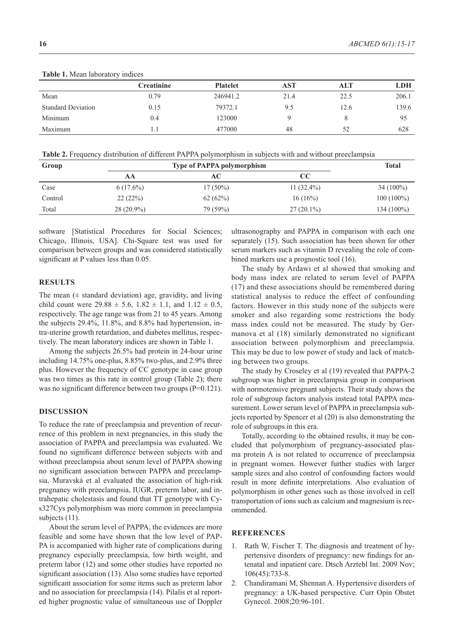| <b>HADIC 1.</b> IVICALI REDUCTION y HIGHCCS |                   |                 |      |      |            |  |
|---------------------------------------------|-------------------|-----------------|------|------|------------|--|
|                                             | <b>Creatinine</b> | <b>Platelet</b> | AST  | ALT  | <b>LDH</b> |  |
| Mean                                        | 0.79              | 246941.2        | 21.4 | 22.5 | 206.1      |  |
| <b>Standard Deviation</b>                   | 0.15              | 79372.1         | 9.5  | 12.6 | 139.6      |  |
| Minimum                                     | 0.4               | 123000          |      |      | 95         |  |
| Maximum                                     |                   | 477000          | 48   | 52   | 628        |  |

**Table 1.** Mean laboratory indices

**Table 2.** Frequency distribution of different PAPPA polymorphism in subjects with and without preeclampsia

| Group   |              | <b>Type of PAPPA polymorphism</b> |               |              |  |
|---------|--------------|-----------------------------------|---------------|--------------|--|
|         | AА           | AC-                               | $\bf CC$      |              |  |
| Case    | $6(17.6\%)$  | $17(50\%)$                        | 11 $(32.4\%)$ | $34(100\%)$  |  |
| Control | 22(22%)      | 62(62%)                           | $16(16\%)$    | $100(100\%)$ |  |
| Total   | $28(20.9\%)$ | 79 (59%)                          | $27(20.1\%)$  | $134(100\%)$ |  |

software [Statistical Procedures for Social Sciences; Chicago, Illinois, USA]. Chi-Square test was used for comparison between groups and was considered statistically significant at P values less than 0.05.

#### **RESULTS**

The mean  $(±$  standard deviation) age, gravidity, and living child count were  $29.88 \pm 5.6$ ,  $1.82 \pm 1.1$ , and  $1.12 \pm 0.5$ , respectively. The age range was from 21 to 45 years. Among the subjects 29.4%, 11.8%, and 8.8% had hypertension, intra-uterine growth retardation, and diabetes mellitus, respectively. The mean laboratory indices are shown in Table 1.

Among the subjects 26.5% had protein in 24-hour urine including 14.75% one-plus, 8.85% two-plus, and 2.9% three plus. However the frequency of CC genotype in case group was two times as this rate in control group (Table 2); there was no significant difference between two groups (P=0.121).

#### **DISCUSSION**

To reduce the rate of preeclampsia and prevention of recurrence of this problem in next pregnancies, in this study the association of PAPPA and preeclampsia was evaluated. We found no significant difference between subjects with and without preeclampsia about serum level of PAPPA showing no significant association between PAPPA and preeclampsia. Muravská et al evaluated the association of high-risk pregnancy with preeclampsia, IUGR, preterm labor, and intrahepatic cholestasis and found that TT genotype with Cys327Cys polymorphism was more common in preeclampsia subjects  $(11)$ .

About the serum level of PAPPA, the evidences are more feasible and some have shown that the low level of PAP-PA is accompanied with higher rate of complications during pregnancy especially preeclampsia, low birth weight, and preterm labor (12) and some other studies have reported no significant association (13). Also some studies have reported significant association for some items such as preterm labor and no association for preeclampsia (14). Pilalis et al reported higher prognostic value of simultaneous use of Doppler

ultrasonography and PAPPA in comparison with each one separately (15). Such association has been shown for other serum markers such as vitamin D revealing the role of combined markers use a prognostic tool (16).

The study by Ardawi et al showed that smoking and body mass index are related to serum level of PAPPA (17) and these associations should be remembered during statistical analysis to reduce the effect of confounding factors. However in this study none of the subjects were smoker and also regarding some restrictions the body mass index could not be measured. The study by Germanova et al (18) similarly demonstrated no significant association between polymorphism and preeclampsia. This may be due to low power of study and lack of matching between two groups.

The study by Croseley et al (19) revealed that PAPPA-2 subgroup was higher in preeclampsia group in comparison with normotensive pregnant subjects. Their study shows the role of subgroup factors analysis instead total PAPPA measurement. Lower serum level of PAPPA in preeclampsia subjects reported by Spencer et al (20) is also demonstrating the role of subgroups in this era.

Totally, according to the obtained results, it may be concluded that polymorphism of pregnancy-associated plasma protein A is not related to occurrence of preeclampsia in pregnant women. However further studies with larger sample sizes and also control of confounding factors would result in more definite interpretations. Also evaluation of polymorphism in other genes such as those involved in cell transportation of ions such as calcium and magnesium is recommended.

### **REFERENCES**

- 1. Rath W, Fischer T. The diagnosis and treatment of hypertensive disorders of pregnancy: new findings for antenatal and inpatient care. Dtsch Arztebl Int. 2009 Nov; 106(45):733-8.
- 2. Chandiramani M, Shennan A. Hypertensive disorders of pregnancy: a UK-based perspective. Curr Opin Obstet Gynecol. 2008;20:96-101.